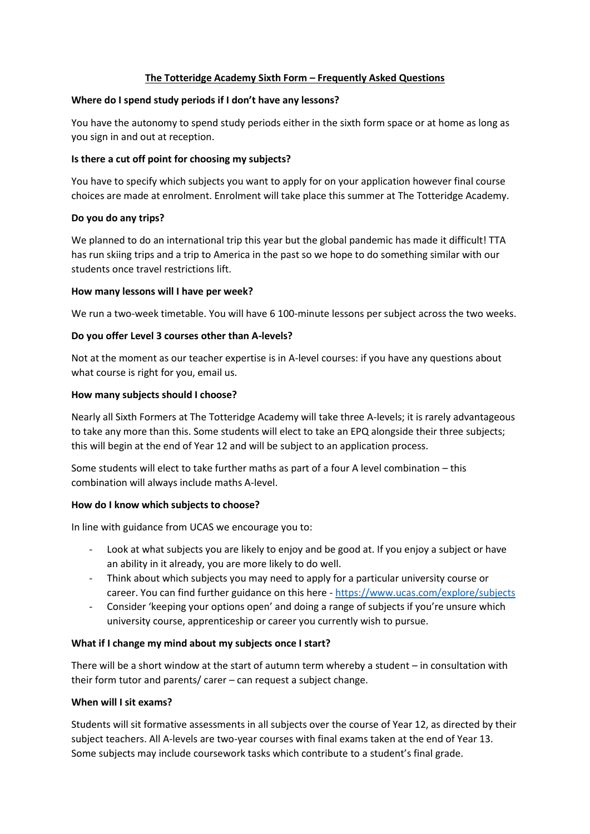## **The Totteridge Academy Sixth Form – Frequently Asked Questions**

### **Where do I spend study periods if I don't have any lessons?**

You have the autonomy to spend study periods either in the sixth form space or at home as long as you sign in and out at reception.

## **Is there a cut off point for choosing my subjects?**

You have to specify which subjects you want to apply for on your application however final course choices are made at enrolment. Enrolment will take place this summer at The Totteridge Academy.

# **Do you do any trips?**

We planned to do an international trip this year but the global pandemic has made it difficult! TTA has run skiing trips and a trip to America in the past so we hope to do something similar with our students once travel restrictions lift.

## **How many lessons will I have per week?**

We run a two-week timetable. You will have 6 100-minute lessons per subject across the two weeks.

## **Do you offer Level 3 courses other than A-levels?**

Not at the moment as our teacher expertise is in A-level courses: if you have any questions about what course is right for you, email us.

#### **How many subjects should I choose?**

Nearly all Sixth Formers at The Totteridge Academy will take three A-levels; it is rarely advantageous to take any more than this. Some students will elect to take an EPQ alongside their three subjects; this will begin at the end of Year 12 and will be subject to an application process.

Some students will elect to take further maths as part of a four A level combination – this combination will always include maths A-level.

# **How do I know which subjects to choose?**

In line with guidance from UCAS we encourage you to:

- Look at what subjects you are likely to enjoy and be good at. If you enjoy a subject or have an ability in it already, you are more likely to do well.
- Think about which subjects you may need to apply for a particular university course or career. You can find further guidance on this here - <https://www.ucas.com/explore/subjects>
- Consider 'keeping your options open' and doing a range of subjects if you're unsure which university course, apprenticeship or career you currently wish to pursue.

# **What if I change my mind about my subjects once I start?**

There will be a short window at the start of autumn term whereby a student – in consultation with their form tutor and parents/ carer – can request a subject change.

#### **When will I sit exams?**

Students will sit formative assessments in all subjects over the course of Year 12, as directed by their subject teachers. All A-levels are two-year courses with final exams taken at the end of Year 13. Some subjects may include coursework tasks which contribute to a student's final grade.